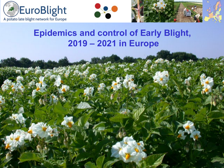





#### **Epidemics and control of Early Blight, 2019 – 2021 in Europe**

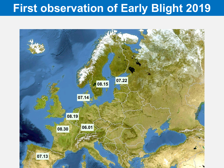# **First observation of Early Blight 2019**

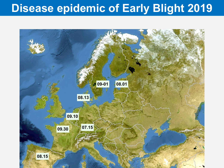## **Disease epidemic of Early Blight 2019**

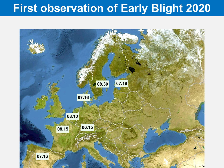# **First observation of Early Blight 2020**

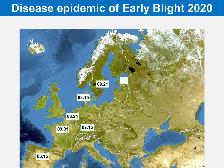## **Disease epidemic of Early Blight 2020**

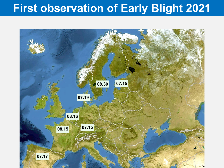# **First observation of Early Blight 2021**

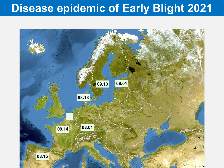## **Disease epidemic of Early Blight 2021**

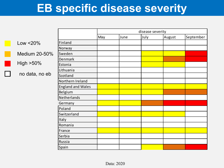## **EB specific disease severity**

|                |                          | disease severity |      |      |        |           |  |  |
|----------------|--------------------------|------------------|------|------|--------|-----------|--|--|
|                |                          | May              | June | July | August | September |  |  |
| Low $<$ 20%    | Finland                  |                  |      |      |        |           |  |  |
|                | Norway                   |                  |      |      |        |           |  |  |
| Medium 20-50%  | Sweden                   |                  |      |      |        |           |  |  |
| High >50%      | Denmark                  |                  |      |      |        |           |  |  |
|                | Estonia                  |                  |      |      |        |           |  |  |
|                | Lithuania                |                  |      |      |        |           |  |  |
| no data, no eb | Scotland                 |                  |      |      |        |           |  |  |
|                | Northern Ireland         |                  |      |      |        |           |  |  |
|                | <b>England and Wales</b> |                  |      |      |        |           |  |  |
|                | Belgium                  |                  |      |      |        |           |  |  |
|                | Netherlands              |                  |      |      |        |           |  |  |
|                | Germany                  |                  |      |      |        |           |  |  |
|                | Poland                   |                  |      |      |        |           |  |  |
|                | Switzerland              |                  |      |      |        |           |  |  |
|                | Italy                    |                  |      |      |        |           |  |  |
|                | Romania                  |                  |      |      |        |           |  |  |
|                | France                   |                  |      |      |        |           |  |  |
|                | Serbia                   |                  |      |      |        |           |  |  |
|                | Russia                   |                  |      |      |        |           |  |  |
|                | Spain                    |                  |      |      |        |           |  |  |

Ē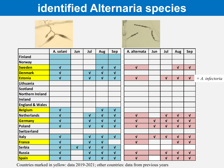## **identified Alternaria species**





|                            | A. solani               | Jun        | Jul          | <b>Aug</b>   | Sep          | A. alternata | Jun          | Jul                | <b>Aug</b>   | Sep          |                  |
|----------------------------|-------------------------|------------|--------------|--------------|--------------|--------------|--------------|--------------------|--------------|--------------|------------------|
| Finland                    |                         |            |              |              |              |              |              |                    |              |              |                  |
| Norway                     |                         |            |              |              |              |              |              |                    |              |              |                  |
| <b>Sweden</b>              | $\mathbf{V}$            |            |              | $\mathbf{V}$ | $\mathbf{V}$ | $\mathbf{V}$ |              |                    | $\mathbf{V}$ | $\sqrt{ }$   |                  |
| Denmark                    | $\sqrt{ }$              |            | $\mathbf{V}$ | $\mathbf{V}$ | $\sqrt{ }$   |              |              |                    |              |              |                  |
| <b>Estonia</b>             | $\mathbf{V}$            |            | $\mathbf{V}$ | $\sqrt{ }$   | $\sqrt{ }$   | $\mathbf{V}$ |              | $\mathbf{V}$       | $\mathbf{V}$ | $\sqrt{ }$   | $+A.$ infectoria |
| Lithuania                  |                         |            |              |              |              |              |              |                    |              |              |                  |
| Scotland                   |                         |            |              |              |              |              |              |                    |              |              |                  |
| Northern Ireland           |                         |            |              |              |              |              |              |                    |              |              |                  |
| Ireland                    |                         |            |              |              |              |              |              |                    |              |              |                  |
| <b>England &amp; Wales</b> |                         |            |              |              |              |              |              |                    |              |              |                  |
| Belgium                    | $\sqrt{ }$              |            |              | $\sqrt{ }$   | $\sqrt{ }$   |              |              |                    |              |              |                  |
| Netherlands                | $\sqrt{ }$              |            | $\sqrt{ }$   | $\mathbf{V}$ | $\sqrt{ }$   | $\mathbf{V}$ |              | $\sqrt{ }$         | $\sqrt{ }$   | $\mathbf{V}$ |                  |
| <b>Germany</b>             | $\overline{\mathsf{V}}$ |            | $\mathbf{V}$ | $\mathbf{V}$ | $\mathbf{V}$ | $\mathbf{V}$ | $\mathbf{V}$ | $\sqrt{ }$         | $\mathbf{V}$ | $\mathbf{V}$ |                  |
| Poland                     | $\sqrt{ }$              |            | $\mathbf{V}$ | $\mathbf{V}$ | $\sqrt{ }$   | $\mathbf{V}$ | $\mathbf{V}$ | $\pmb{\mathsf{V}}$ | $\sqrt{ }$   | $\mathbf{V}$ |                  |
| Switzerland                |                         |            |              |              |              |              |              |                    |              |              |                  |
| <b>Italy</b>               | $\sqrt{ }$              |            | $\sqrt{ }$   | $\mathbf{V}$ | $\mathbf{V}$ | $\mathbf{V}$ | $\mathbf{V}$ | $\mathbf{V}$       | $\sqrt{ }$   | $\mathbf{V}$ |                  |
| France                     | $\sqrt{ }$              |            | $\sqrt{ }$   | $\mathbf{V}$ |              | $\mathbf{V}$ |              |                    | $\mathbf{V}$ | $\mathbf{V}$ |                  |
| Serbia                     | $\mathbf{V}$            | $\sqrt{ }$ | $\mathbf{V}$ | $\mathbf{V}$ | $\sqrt{ }$   |              |              |                    |              |              |                  |
| <b>Russia</b>              | $\sqrt{ }$              |            | $\sqrt{ }$   | $\sqrt{ }$   | $\sqrt{ }$   | $\sqrt{ }$   |              | $\mathbf{V}$       | $\mathbf{V}$ | $\sqrt{ }$   |                  |
| <b>Spain</b>               | $\overline{\mathsf{v}}$ |            | $\sqrt{ }$   | $\sqrt{ }$   | $\sqrt{ }$   | $\mathbf{V}$ |              | $\pmb{\mathsf{V}}$ | $\sqrt{ }$   | $\mathbf{V}$ |                  |

Countries marked in yellow: data 2019-2021; other countries: data from previous years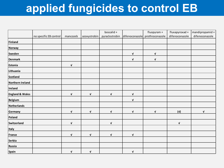## **applied fungicides to control EB**

|                            |                        |                    |                    | boscalid +         |                    |                                | fluxapyroxad + | mandipropamid +    |
|----------------------------|------------------------|--------------------|--------------------|--------------------|--------------------|--------------------------------|----------------|--------------------|
|                            | no specific EB control | mancozeb           | azoxystrobin       | pyraclostrobin     |                    | difenoconazole prothioconazole | difenoconazole | difenoconazole     |
| Finland                    |                        |                    |                    |                    |                    |                                |                |                    |
| Norway                     |                        |                    |                    |                    |                    |                                |                |                    |
| Sweden                     |                        |                    |                    |                    | V                  | $\mathbf{v}$                   |                |                    |
| Denmark                    |                        |                    |                    |                    | $\pmb{\mathsf{V}}$ | $\mathbf{v}$                   |                |                    |
| Estonia                    |                        | $\pmb{\mathsf{V}}$ |                    |                    |                    |                                |                |                    |
| Lithuania                  |                        |                    |                    |                    |                    |                                |                |                    |
| Scotland                   |                        |                    |                    |                    |                    |                                |                |                    |
| Northern Ireland           |                        |                    |                    |                    |                    |                                |                |                    |
| Ireland                    |                        |                    |                    |                    |                    |                                |                |                    |
| <b>England &amp; Wales</b> |                        | $\pmb{\mathsf{V}}$ | $\pmb{\mathsf{v}}$ | $\pmb{\mathsf{v}}$ | $\mathbf v$        |                                |                |                    |
| Belgium                    |                        |                    |                    |                    | $\pmb{\mathsf{V}}$ |                                |                |                    |
| Netherlands                |                        |                    |                    |                    |                    |                                |                |                    |
| Germany                    |                        | $\mathbf v$        | $\mathbf v$        | $\mathbf v$        | $\mathbf v$        | $\mathbf{v}$                   | (v)            | $\pmb{\mathsf{v}}$ |
| Poland                     |                        |                    |                    |                    |                    |                                |                |                    |
| Switzerland                |                        | $\mathbf v$        |                    | $\pmb{\mathsf{V}}$ |                    |                                | $\mathbf v$    |                    |
| Italy                      |                        |                    |                    |                    |                    |                                |                |                    |
| France                     |                        | $\mathbf{v}$       | $\mathbf v$        | $\mathbf v$        | $\mathbf{v}$       |                                |                |                    |
| Serbia                     |                        |                    |                    |                    |                    |                                |                |                    |
| Russia                     |                        |                    |                    |                    |                    |                                |                |                    |
| <b>Spain</b>               |                        | $\mathbf v$        | $\mathbf v$        |                    | $\mathbf v$        |                                |                |                    |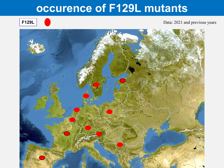#### **occurence of F129L mutants**

**F129L C** Data: 2021 and previous years

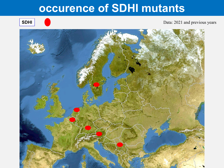#### **occurence of SDHI mutants**

**SDHI** Data: 2021 and previous years

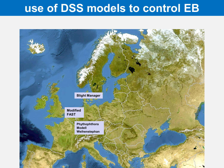#### **use of DSS models to control EB**

![](_page_12_Picture_1.jpeg)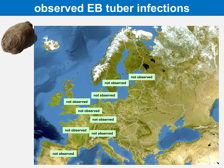#### **observed EB tuber infections**

![](_page_13_Picture_1.jpeg)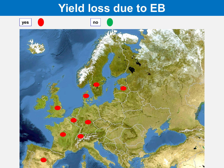#### **Yield loss due to EB**

![](_page_14_Picture_1.jpeg)